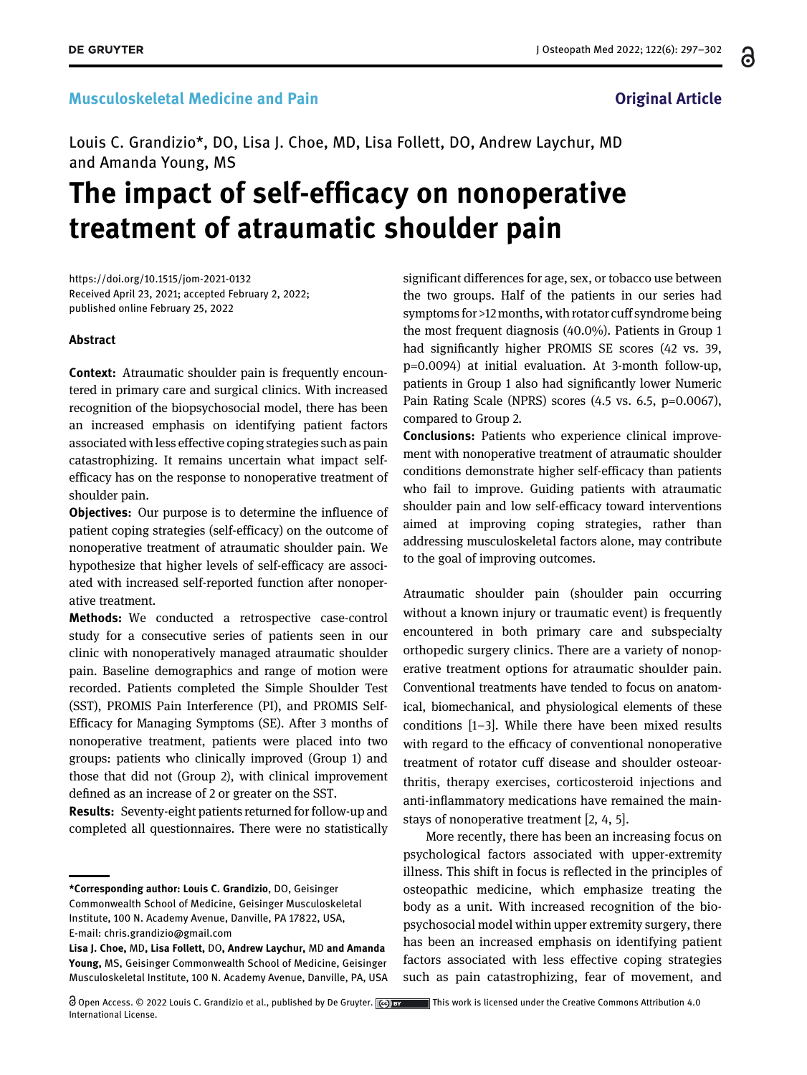### Musculoskeletal Medicine and Pain **Musculoskeletal Medicine and Pain** Original Article

Louis C. Grandizio\*, DO, Lisa J. Choe, MD, Lisa Follett, DO, Andrew Laychur, MD and Amanda Young, MS

# The impact of self-efficacy on nonoperative treatment of atraumatic shoulder pain

<https://doi.org/10.1515/jom-2021-0132> Received April 23, 2021; accepted February 2, 2022; published online February 25, 2022

### Abstract

**Context:** Atraumatic shoulder pain is frequently encountered in primary care and surgical clinics. With increased recognition of the biopsychosocial model, there has been an increased emphasis on identifying patient factors associated with less effective coping strategies such as pain catastrophizing. It remains uncertain what impact selfefficacy has on the response to nonoperative treatment of shoulder pain.

**Objectives:** Our purpose is to determine the influence of patient coping strategies (self-efficacy) on the outcome of nonoperative treatment of atraumatic shoulder pain. We hypothesize that higher levels of self-efficacy are associated with increased self-reported function after nonoperative treatment.

Methods: We conducted a retrospective case-control study for a consecutive series of patients seen in our clinic with nonoperatively managed atraumatic shoulder pain. Baseline demographics and range of motion were recorded. Patients completed the Simple Shoulder Test (SST), PROMIS Pain Interference (PI), and PROMIS Self-Efficacy for Managing Symptoms (SE). After 3 months of nonoperative treatment, patients were placed into two groups: patients who clinically improved (Group 1) and those that did not (Group 2), with clinical improvement defined as an increase of 2 or greater on the SST.

Results: Seventy-eight patients returned for follow-up and completed all questionnaires. There were no statistically significant differences for age, sex, or tobacco use between the two groups. Half of the patients in our series had symptoms for >12 months, with rotator cuff syndrome being the most frequent diagnosis (40.0%). Patients in Group 1 had significantly higher PROMIS SE scores (42 vs. 39, p=0.0094) at initial evaluation. At 3-month follow-up, patients in Group 1 also had significantly lower Numeric Pain Rating Scale (NPRS) scores (4.5 vs. 6.5, p=0.0067), compared to Group 2.

Conclusions: Patients who experience clinical improvement with nonoperative treatment of atraumatic shoulder conditions demonstrate higher self-efficacy than patients who fail to improve. Guiding patients with atraumatic shoulder pain and low self-efficacy toward interventions aimed at improving coping strategies, rather than addressing musculoskeletal factors alone, may contribute to the goal of improving outcomes.

Atraumatic shoulder pain (shoulder pain occurring without a known injury or traumatic event) is frequently encountered in both primary care and subspecialty orthopedic surgery clinics. There are a variety of nonoperative treatment options for atraumatic shoulder pain. Conventional treatments have tended to focus on anatomical, biomechanical, and physiological elements of these conditions [1[–](#page-4-0)3]. While there have been mixed results with regard to the efficacy of conventional nonoperative treatment of rotator cuff disease and shoulder osteoarthritis, therapy exercises, corticosteroid injections and anti-inflammatory medications have remained the mainstays of nonoperative treatment [[2,](#page-4-1) [4](#page-4-2), [5](#page-4-3)].

More recently, there has been an increasing focus on psychological factors associated with upper-extremity illness. This shift in focus is reflected in the principles of osteopathic medicine, which emphasize treating the body as a unit. With increased recognition of the biopsychosocial model within upper extremity surgery, there has been an increased emphasis on identifying patient factors associated with less effective coping strategies such as pain catastrophizing, fear of movement, and

႕

<sup>\*</sup>Corresponding author: Louis C. Grandizio, DO, Geisinger Commonwealth School of Medicine, Geisinger Musculoskeletal Institute, 100 N. Academy Avenue, Danville, PA 17822, USA, E-mail: [chris.grandizio@gmail.com](mailto:chris.grandizio@gmail.com)

Lisa J. Choe, MD, Lisa Follett, DO, Andrew Laychur, MD and Amanda Young, MS, Geisinger Commonwealth School of Medicine, Geisinger Musculoskeletal Institute, 100 N. Academy Avenue, Danville, PA, USA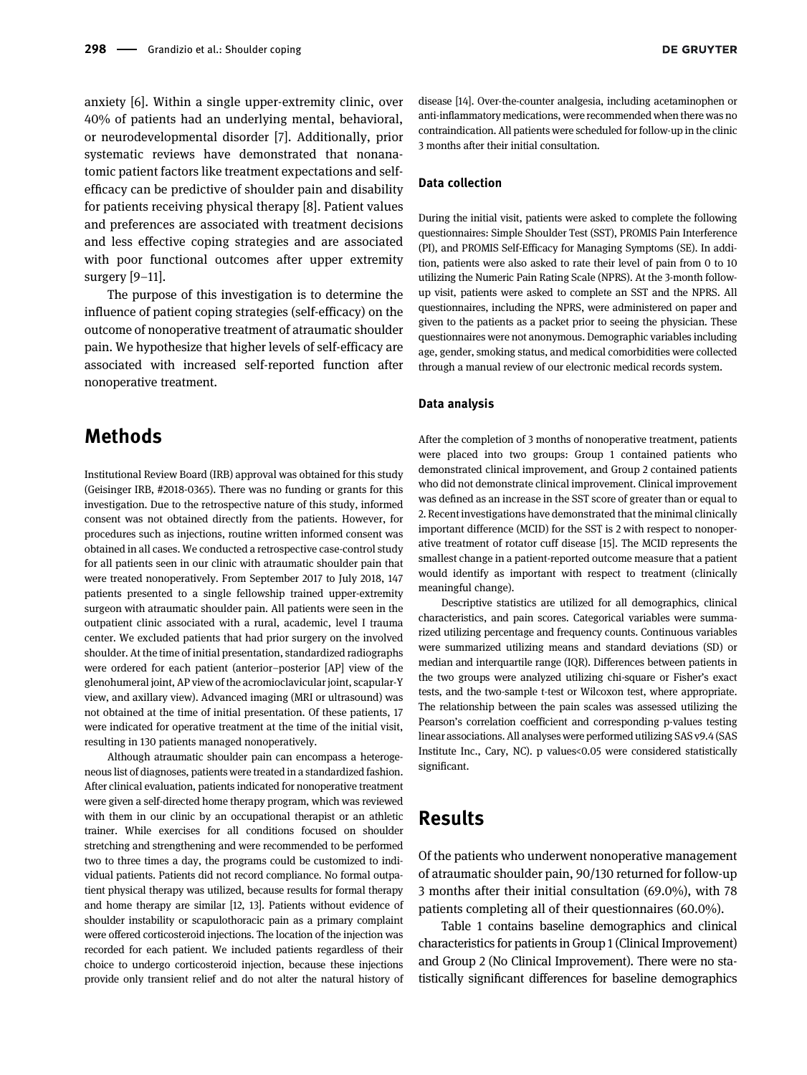anxiety [\[6](#page-4-4)]. Within a single upper-extremity clinic, over 40% of patients had an underlying mental, behavioral, or neurodevelopmental disorder [\[7\]](#page-4-5). Additionally, prior systematic reviews have demonstrated that nonanatomic patient factors like treatment expectations and selfefficacy can be predictive of shoulder pain and disability for patients receiving physical therapy [\[8](#page-4-6)]. Patient values and preferences are associated with treatment decisions and less effective coping strategies and are associated with poor functional outcomes after upper extremity surgery [9–[11](#page-5-0)].

The purpose of this investigation is to determine the influence of patient coping strategies (self-efficacy) on the outcome of nonoperative treatment of atraumatic shoulder pain. We hypothesize that higher levels of self-efficacy are associated with increased self-reported function after nonoperative treatment.

### Methods

Institutional Review Board (IRB) approval was obtained for this study (Geisinger IRB, #2018-0365). There was no funding or grants for this investigation. Due to the retrospective nature of this study, informed consent was not obtained directly from the patients. However, for procedures such as injections, routine written informed consent was obtained in all cases. We conducted a retrospective case-control study for all patients seen in our clinic with atraumatic shoulder pain that were treated nonoperatively. From September 2017 to July 2018, 147 patients presented to a single fellowship trained upper-extremity surgeon with atraumatic shoulder pain. All patients were seen in the outpatient clinic associated with a rural, academic, level I trauma center. We excluded patients that had prior surgery on the involved shoulder. At the time of initial presentation, standardized radiographs were ordered for each patient (anterior–posterior [AP] view of the glenohumeral joint, AP view of the acromioclavicular joint, scapular-Y view, and axillary view). Advanced imaging (MRI or ultrasound) was not obtained at the time of initial presentation. Of these patients, 17 were indicated for operative treatment at the time of the initial visit, resulting in 130 patients managed nonoperatively.

Although atraumatic shoulder pain can encompass a heterogeneous list of diagnoses, patients were treated in a standardized fashion. After clinical evaluation, patients indicated for nonoperative treatment were given a self-directed home therapy program, which was reviewed with them in our clinic by an occupational therapist or an athletic trainer. While exercises for all conditions focused on shoulder stretching and strengthening and were recommended to be performed two to three times a day, the programs could be customized to individual patients. Patients did not record compliance. No formal outpatient physical therapy was utilized, because results for formal therapy and home therapy are similar [\[12,](#page-5-1) [13\]](#page-5-2). Patients without evidence of shoulder instability or scapulothoracic pain as a primary complaint were offered corticosteroid injections. The location of the injection was recorded for each patient. We included patients regardless of their choice to undergo corticosteroid injection, because these injections provide only transient relief and do not alter the natural history of

disease [\[14\]](#page-5-3). Over-the-counter analgesia, including acetaminophen or anti-inflammatory medications, were recommended when there was no contraindication. All patients were scheduled for follow-up in the clinic 3 months after their initial consultation.

#### Data collection

During the initial visit, patients were asked to complete the following questionnaires: Simple Shoulder Test (SST), PROMIS Pain Interference (PI), and PROMIS Self-Efficacy for Managing Symptoms (SE). In addition, patients were also asked to rate their level of pain from 0 to 10 utilizing the Numeric Pain Rating Scale (NPRS). At the 3-month followup visit, patients were asked to complete an SST and the NPRS. All questionnaires, including the NPRS, were administered on paper and given to the patients as a packet prior to seeing the physician. These questionnaires were not anonymous. Demographic variables including age, gender, smoking status, and medical comorbidities were collected through a manual review of our electronic medical records system.

#### Data analysis

After the completion of 3 months of nonoperative treatment, patients were placed into two groups: Group 1 contained patients who demonstrated clinical improvement, and Group 2 contained patients who did not demonstrate clinical improvement. Clinical improvement was defined as an increase in the SST score of greater than or equal to 2. Recent investigations have demonstrated that the minimal clinically important difference (MCID) for the SST is 2 with respect to nonoperative treatment of rotator cuff disease [[15\]](#page-5-4). The MCID represents the smallest change in a patient-reported outcome measure that a patient would identify as important with respect to treatment (clinically meaningful change).

Descriptive statistics are utilized for all demographics, clinical characteristics, and pain scores. Categorical variables were summarized utilizing percentage and frequency counts. Continuous variables were summarized utilizing means and standard deviations (SD) or median and interquartile range (IQR). Differences between patients in the two groups were analyzed utilizing chi-square or Fisher's exact tests, and the two-sample t-test or Wilcoxon test, where appropriate. The relationship between the pain scales was assessed utilizing the Pearson's correlation coefficient and corresponding p-values testing linear associations. All analyses were performed utilizing SAS v9.4 (SAS Institute Inc., Cary, NC). p values<0.05 were considered statistically significant.

### Results

Of the patients who underwent nonoperative management of atraumatic shoulder pain, 90/130 returned for follow-up 3 months after their initial consultation (69.0%), with 78 patients completing all of their questionnaires (60.0%).

[Table 1](#page-2-0) contains baseline demographics and clinical characteristics for patients in Group 1 (Clinical Improvement) and Group 2 (No Clinical Improvement). There were no statistically significant differences for baseline demographics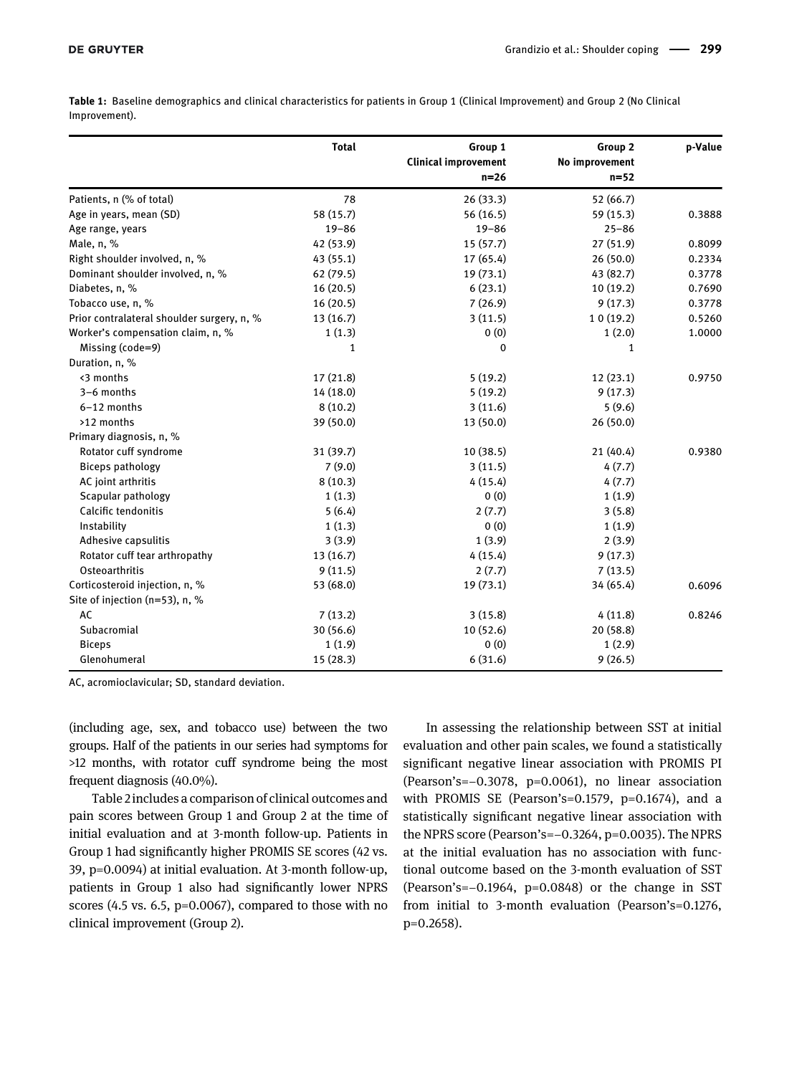<span id="page-2-0"></span>Table 1: Baseline demographics and clinical characteristics for patients in Group 1 (Clinical Improvement) and Group 2 (No Clinical Improvement).

|                                            | <b>Total</b> | Group 1<br><b>Clinical improvement</b><br>$n=26$ | Group 2<br>No improvement<br>$n=52$ | p-Value |
|--------------------------------------------|--------------|--------------------------------------------------|-------------------------------------|---------|
|                                            |              |                                                  |                                     |         |
| Patients, n (% of total)                   | 78           | 26(33.3)                                         | 52 (66.7)                           |         |
| Age in years, mean (SD)                    | 58 (15.7)    | 56(16.5)                                         | 59 (15.3)                           | 0.3888  |
| Age range, years                           | $19 - 86$    | $19 - 86$                                        | $25 - 86$                           |         |
| Male, n, %                                 | 42 (53.9)    | 15(57.7)                                         | 27 (51.9)                           | 0.8099  |
| Right shoulder involved, n, %              | 43 (55.1)    | 17(65.4)                                         | 26(50.0)                            | 0.2334  |
| Dominant shoulder involved, n, %           | 62 (79.5)    | 19(73.1)                                         | 43 (82.7)                           | 0.3778  |
| Diabetes, n, %                             | 16(20.5)     | 6(23.1)                                          | 10 (19.2)                           | 0.7690  |
| Tobacco use, n, %                          | 16(20.5)     | 7(26.9)                                          | 9(17.3)                             | 0.3778  |
| Prior contralateral shoulder surgery, n, % | 13(16.7)     | 3(11.5)                                          | 10(19.2)                            | 0.5260  |
| Worker's compensation claim, n, %          | 1(1.3)       | 0(0)                                             | 1(2.0)                              | 1.0000  |
| Missing (code=9)                           | 1            | $\Omega$                                         | $\mathbf{1}$                        |         |
| Duration, n, %                             |              |                                                  |                                     |         |
| <3 months                                  | 17(21.8)     | 5(19.2)                                          | 12(23.1)                            | 0.9750  |
| 3-6 months                                 | 14 (18.0)    | 5(19.2)                                          | 9(17.3)                             |         |
| $6-12$ months                              | 8(10.2)      | 3(11.6)                                          | 5(9.6)                              |         |
| >12 months                                 | 39 (50.0)    | 13(50.0)                                         | 26 (50.0)                           |         |
| Primary diagnosis, n, %                    |              |                                                  |                                     |         |
| Rotator cuff syndrome                      | 31 (39.7)    | 10(38.5)                                         | 21(40.4)                            | 0.9380  |
| <b>Biceps pathology</b>                    | 7(9.0)       | 3(11.5)                                          | 4(7.7)                              |         |
| AC joint arthritis                         | 8(10.3)      | 4(15.4)                                          | 4(7.7)                              |         |
| Scapular pathology                         | 1(1.3)       | 0(0)                                             | 1(1.9)                              |         |
| Calcific tendonitis                        | 5(6.4)       | 2(7.7)                                           | 3(5.8)                              |         |
| Instability                                | 1(1.3)       | 0(0)                                             | 1(1.9)                              |         |
| Adhesive capsulitis                        | 3(3.9)       | 1(3.9)                                           | 2(3.9)                              |         |
| Rotator cuff tear arthropathy              | 13(16.7)     | 4(15.4)                                          | 9(17.3)                             |         |
| Osteoarthritis                             | 9(11.5)      | 2(7.7)                                           | 7(13.5)                             |         |
| Corticosteroid injection, n, %             | 53 (68.0)    | 19(73.1)                                         | 34 (65.4)                           | 0.6096  |
| Site of injection (n=53), n, %             |              |                                                  |                                     |         |
| AC                                         | 7(13.2)      | 3(15.8)                                          | 4(11.8)                             | 0.8246  |
| Subacromial                                | 30 (56.6)    | 10(52.6)                                         | 20(58.8)                            |         |
| <b>Biceps</b>                              | 1(1.9)       | 0(0)                                             | 1(2.9)                              |         |
| Glenohumeral                               | 15 (28.3)    | 6(31.6)                                          | 9(26.5)                             |         |

AC, acromioclavicular; SD, standard deviation.

(including age, sex, and tobacco use) between the two groups. Half of the patients in our series had symptoms for >12 months, with rotator cuff syndrome being the most frequent diagnosis (40.0%).

[Table 2](#page-3-0) includes a comparison of clinical outcomes and pain scores between Group 1 and Group 2 at the time of initial evaluation and at 3-month follow-up. Patients in Group 1 had significantly higher PROMIS SE scores (42 vs. 39, p=0.0094) at initial evaluation. At 3-month follow-up, patients in Group 1 also had significantly lower NPRS scores (4.5 vs. 6.5, p=0.0067), compared to those with no clinical improvement (Group 2).

In assessing the relationship between SST at initial evaluation and other pain scales, we found a statistically significant negative linear association with PROMIS PI (Pearson's=−0.3078, p=0.0061), no linear association with PROMIS SE (Pearson's=0.1579, p=0.1674), and a statistically significant negative linear association with the NPRS score (Pearson's=−0.3264, p=0.0035). The NPRS at the initial evaluation has no association with functional outcome based on the 3-month evaluation of SST (Pearson's=−0.1964, p=0.0848) or the change in SST from initial to 3-month evaluation (Pearson's=0.1276, p=0.2658).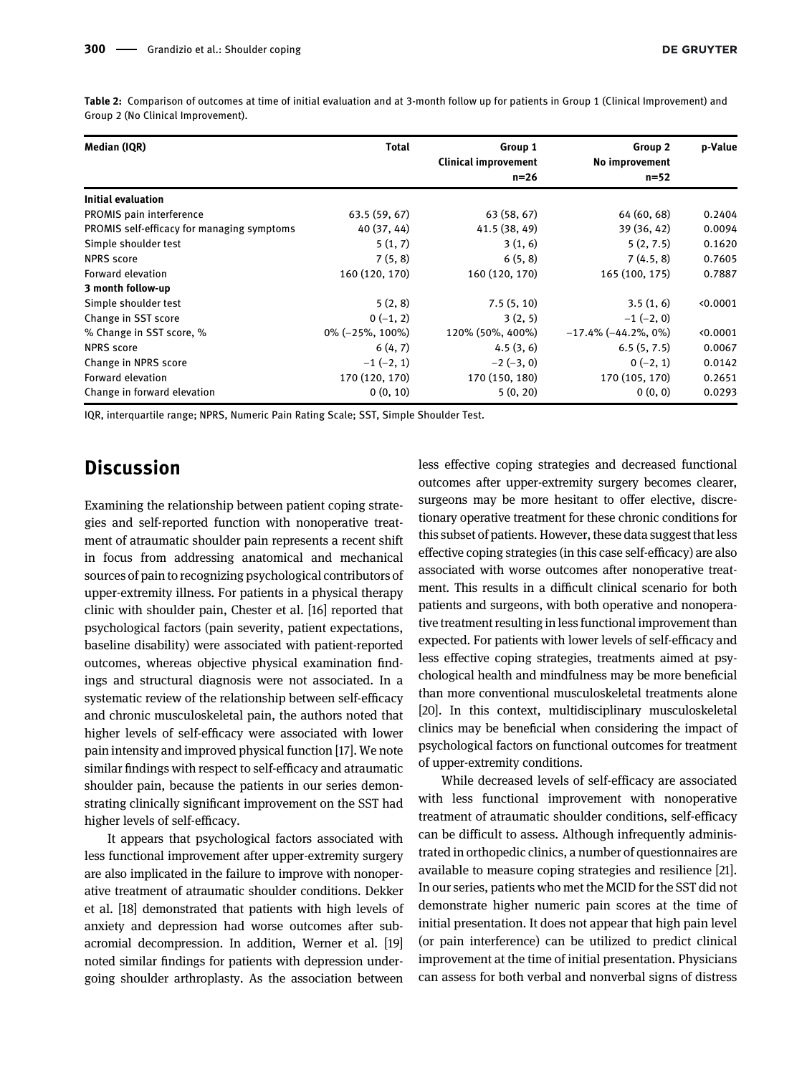| Median (IQR)                               | <b>Total</b>       | Group 1<br><b>Clinical improvement</b><br>$n = 26$ | Group 2<br>No improvement<br>$n = 52$ | p-Value |
|--------------------------------------------|--------------------|----------------------------------------------------|---------------------------------------|---------|
|                                            |                    |                                                    |                                       |         |
| PROMIS pain interference                   | 63.5(59, 67)       | 63 (58, 67)                                        | 64 (60, 68)                           | 0.2404  |
| PROMIS self-efficacy for managing symptoms | 40 (37, 44)        | 41.5 (38, 49)                                      | 39 (36, 42)                           | 0.0094  |
| Simple shoulder test                       | 5(1, 7)            | 3(1, 6)                                            | 5(2, 7.5)                             | 0.1620  |
| <b>NPRS</b> score                          | 7(5, 8)            | 6(5, 8)                                            | 7(4.5, 8)                             | 0.7605  |
| Forward elevation                          | 160 (120, 170)     | 160 (120, 170)                                     | 165 (100, 175)                        | 0.7887  |
| 3 month follow-up                          |                    |                                                    |                                       |         |
| Simple shoulder test                       | 5(2, 8)            | 7.5(5, 10)                                         | 3.5(1, 6)                             | 0.0001  |
| Change in SST score                        | $0(-1, 2)$         | 3(2, 5)                                            | $-1(-2, 0)$                           |         |
| % Change in SST score, %                   | $0\%$ (-25%, 100%) | 120% (50%, 400%)                                   | $-17.4\%$ ( $-44.2\%$ , 0%)           | 0.0001  |
| <b>NPRS</b> score                          | 6(4, 7)            | 4.5(3, 6)                                          | 6.5(5, 7.5)                           | 0.0067  |
| Change in NPRS score                       | $-1(-2, 1)$        | $-2(-3, 0)$                                        | $0(-2, 1)$                            | 0.0142  |
| Forward elevation                          | 170 (120, 170)     | 170 (150, 180)                                     | 170 (105, 170)                        | 0.2651  |
| Change in forward elevation                | 0(0, 10)           | 5(0, 20)                                           | 0(0, 0)                               | 0.0293  |

<span id="page-3-0"></span>Table 2: Comparison of outcomes at time of initial evaluation and at 3-month follow up for patients in Group 1 (Clinical Improvement) and Group 2 (No Clinical Improvement).

IQR, interquartile range; NPRS, Numeric Pain Rating Scale; SST, Simple Shoulder Test.

### **Discussion**

Examining the relationship between patient coping strategies and self-reported function with nonoperative treatment of atraumatic shoulder pain represents a recent shift in focus from addressing anatomical and mechanical sources of pain to recognizing psychological contributors of upper-extremity illness. For patients in a physical therapy clinic with shoulder pain, Chester et al. [\[16\]](#page-5-5) reported that psychological factors (pain severity, patient expectations, baseline disability) were associated with patient-reported outcomes, whereas objective physical examination findings and structural diagnosis were not associated. In a systematic review of the relationship between self-efficacy and chronic musculoskeletal pain, the authors noted that higher levels of self-efficacy were associated with lower pain intensity and improved physical function [\[17](#page-5-6)]. We note similar findings with respect to self-efficacy and atraumatic shoulder pain, because the patients in our series demonstrating clinically significant improvement on the SST had higher levels of self-efficacy.

It appears that psychological factors associated with less functional improvement after upper-extremity surgery are also implicated in the failure to improve with nonoperative treatment of atraumatic shoulder conditions. Dekker et al. [\[18\]](#page-5-7) demonstrated that patients with high levels of anxiety and depression had worse outcomes after subacromial decompression. In addition, Werner et al. [\[19\]](#page-5-8) noted similar findings for patients with depression undergoing shoulder arthroplasty. As the association between less effective coping strategies and decreased functional outcomes after upper-extremity surgery becomes clearer, surgeons may be more hesitant to offer elective, discretionary operative treatment for these chronic conditions for this subset of patients. However, these data suggest that less effective coping strategies (in this case self-efficacy) are also associated with worse outcomes after nonoperative treatment. This results in a difficult clinical scenario for both patients and surgeons, with both operative and nonoperative treatment resulting in less functional improvement than expected. For patients with lower levels of self-efficacy and less effective coping strategies, treatments aimed at psychological health and mindfulness may be more beneficial than more conventional musculoskeletal treatments alone [[20](#page-5-9)]. In this context, multidisciplinary musculoskeletal clinics may be beneficial when considering the impact of psychological factors on functional outcomes for treatment of upper-extremity conditions.

While decreased levels of self-efficacy are associated with less functional improvement with nonoperative treatment of atraumatic shoulder conditions, self-efficacy can be difficult to assess. Although infrequently administrated in orthopedic clinics, a number of questionnaires are available to measure coping strategies and resilience [[21\]](#page-5-10). In our series, patients who met the MCID for the SST did not demonstrate higher numeric pain scores at the time of initial presentation. It does not appear that high pain level (or pain interference) can be utilized to predict clinical improvement at the time of initial presentation. Physicians can assess for both verbal and nonverbal signs of distress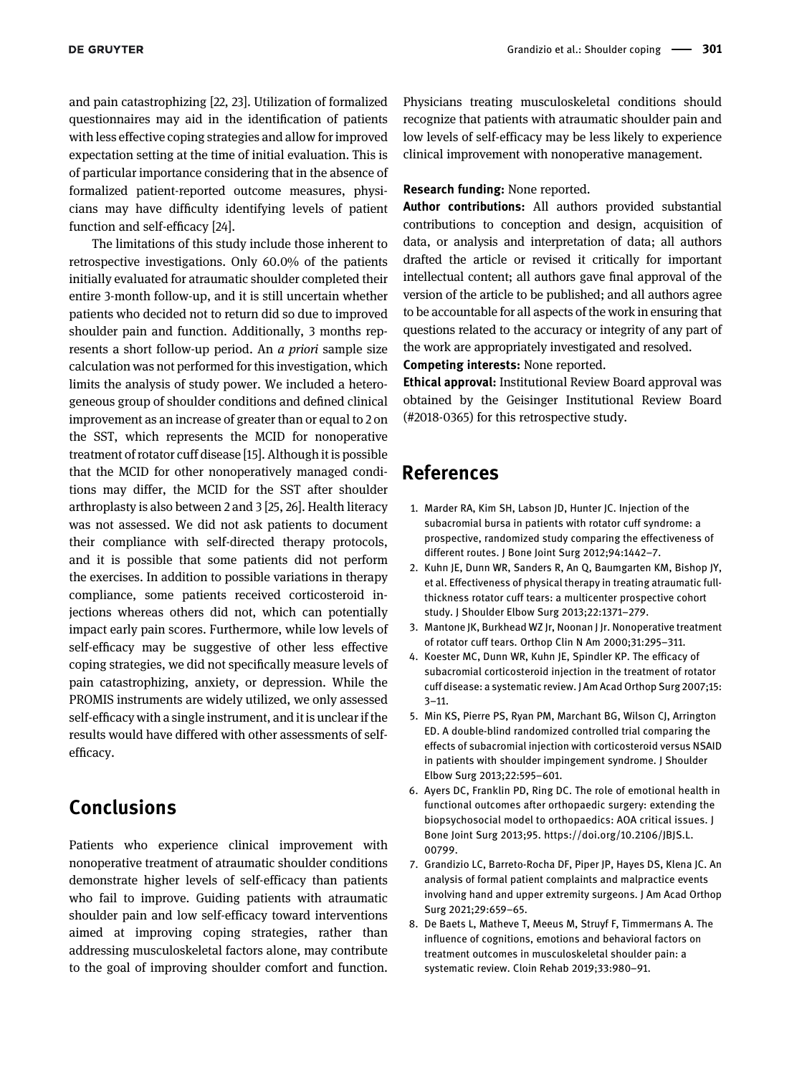and pain catastrophizing [[22,](#page-5-11) [23\]](#page-5-12). Utilization of formalized questionnaires may aid in the identification of patients with less effective coping strategies and allow for improved expectation setting at the time of initial evaluation. This is of particular importance considering that in the absence of formalized patient-reported outcome measures, physicians may have difficulty identifying levels of patient function and self-efficacy [\[24](#page-5-13)].

The limitations of this study include those inherent to retrospective investigations. Only 60.0% of the patients initially evaluated for atraumatic shoulder completed their entire 3-month follow-up, and it is still uncertain whether patients who decided not to return did so due to improved shoulder pain and function. Additionally, 3 months represents a short follow-up period. An a priori sample size calculation was not performed for this investigation, which limits the analysis of study power. We included a heterogeneous group of shoulder conditions and defined clinical improvement as an increase of greater than or equal to 2 on the SST, which represents the MCID for nonoperative treatment of rotator cuff disease [\[15](#page-5-4)]. Although it is possible that the MCID for other nonoperatively managed conditions may differ, the MCID for the SST after shoulder arthroplasty is also between 2 and 3 [[25](#page-5-14), [26](#page-5-15)]. Health literacy was not assessed. We did not ask patients to document their compliance with self-directed therapy protocols, and it is possible that some patients did not perform the exercises. In addition to possible variations in therapy compliance, some patients received corticosteroid injections whereas others did not, which can potentially impact early pain scores. Furthermore, while low levels of self-efficacy may be suggestive of other less effective coping strategies, we did not specifically measure levels of pain catastrophizing, anxiety, or depression. While the PROMIS instruments are widely utilized, we only assessed self-efficacy with a single instrument, and it is unclear if the results would have differed with other assessments of selfefficacy.

## Conclusions

Patients who experience clinical improvement with nonoperative treatment of atraumatic shoulder conditions demonstrate higher levels of self-efficacy than patients who fail to improve. Guiding patients with atraumatic shoulder pain and low self-efficacy toward interventions aimed at improving coping strategies, rather than addressing musculoskeletal factors alone, may contribute to the goal of improving shoulder comfort and function.

Physicians treating musculoskeletal conditions should recognize that patients with atraumatic shoulder pain and low levels of self-efficacy may be less likely to experience clinical improvement with nonoperative management.

### Research funding: None reported.

Author contributions: All authors provided substantial contributions to conception and design, acquisition of data, or analysis and interpretation of data; all authors drafted the article or revised it critically for important intellectual content; all authors gave final approval of the version of the article to be published; and all authors agree to be accountable for all aspects of the work in ensuring that questions related to the accuracy or integrity of any part of the work are appropriately investigated and resolved.

Competing interests: None reported.

Ethical approval: Institutional Review Board approval was obtained by the Geisinger Institutional Review Board (#2018-0365) for this retrospective study.

## References

- <span id="page-4-0"></span>1. Marder RA, Kim SH, Labson JD, Hunter JC. Injection of the subacromial bursa in patients with rotator cuff syndrome: a prospective, randomized study comparing the effectiveness of different routes. J Bone Joint Surg 2012;94:1442–7.
- <span id="page-4-1"></span>2. Kuhn JE, Dunn WR, Sanders R, An Q, Baumgarten KM, Bishop JY, et al. Effectiveness of physical therapy in treating atraumatic fullthickness rotator cuff tears: a multicenter prospective cohort study. J Shoulder Elbow Surg 2013;22:1371–279.
- 3. Mantone JK, Burkhead WZ Jr, Noonan J Jr. Nonoperative treatment of rotator cuff tears. Orthop Clin N Am 2000;31:295–311.
- <span id="page-4-2"></span>4. Koester MC, Dunn WR, Kuhn JE, Spindler KP. The efficacy of subacromial corticosteroid injection in the treatment of rotator cuff disease: a systematic review. J Am Acad Orthop Surg 2007;15: 3–11.
- <span id="page-4-3"></span>5. Min KS, Pierre PS, Ryan PM, Marchant BG, Wilson CJ, Arrington ED. A double-blind randomized controlled trial comparing the effects of subacromial injection with corticosteroid versus NSAID in patients with shoulder impingement syndrome. J Shoulder Elbow Surg 2013;22:595–601.
- <span id="page-4-4"></span>6. Ayers DC, Franklin PD, Ring DC. The role of emotional health in functional outcomes after orthopaedic surgery: extending the biopsychosocial model to orthopaedics: AOA critical issues. J Bone Joint Surg 2013;95. [https://doi.org/10.2106/JBJS.L.](https://doi.org/10.2106/JBJS.L.00799) [00799.](https://doi.org/10.2106/JBJS.L.00799)
- <span id="page-4-5"></span>7. Grandizio LC, Barreto-Rocha DF, Piper JP, Hayes DS, Klena JC. An analysis of formal patient complaints and malpractice events involving hand and upper extremity surgeons. J Am Acad Orthop Surg 2021;29:659–65.
- <span id="page-4-6"></span>8. De Baets L, Matheve T, Meeus M, Struyf F, Timmermans A. The influence of cognitions, emotions and behavioral factors on treatment outcomes in musculoskeletal shoulder pain: a systematic review. Cloin Rehab 2019;33:980–91.